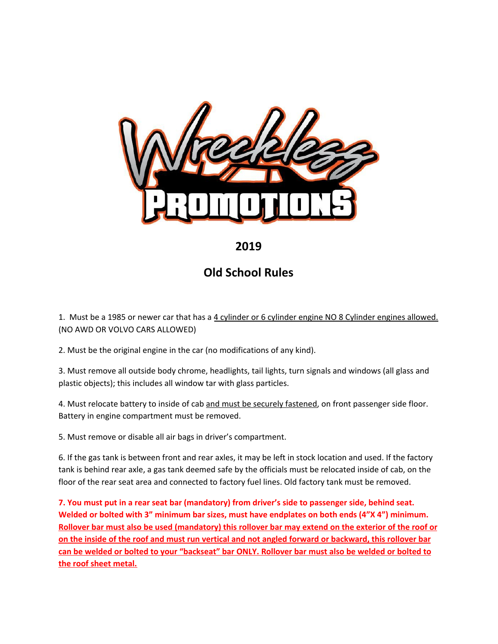

## **2019**

## **Old School Rules**

1. Must be a 1985 or newer car that has a 4 cylinder or 6 cylinder engine NO 8 Cylinder engines allowed. (NO AWD OR VOLVO CARS ALLOWED)

2. Must be the original engine in the car (no modifications of any kind).

3. Must remove all outside body chrome, headlights, tail lights, turn signals and windows (all glass and plastic objects); this includes all window tar with glass particles.

4. Must relocate battery to inside of cab and must be securely fastened, on front passenger side floor. Battery in engine compartment must be removed.

5. Must remove or disable all air bags in driver's compartment.

6. If the gas tank is between front and rear axles, it may be left in stock location and used. If the factory tank is behind rear axle, a gas tank deemed safe by the officials must be relocated inside of cab, on the floor of the rear seat area and connected to factory fuel lines. Old factory tank must be removed.

**7. You must put in a rear seat bar (mandatory) from driver's side to passenger side, behind seat. Welded or bolted with 3" minimum bar sizes, must have endplates on both ends (4"X 4") minimum.** Rollover bar must also be used (mandatory) this rollover bar may extend on the exterior of the roof or on the inside of the roof and must run vertical and not angled forward or backward, this rollover bar can be welded or bolted to your "backseat" bar ONLY. Rollover bar must also be welded or bolted to **the roof sheet metal.**